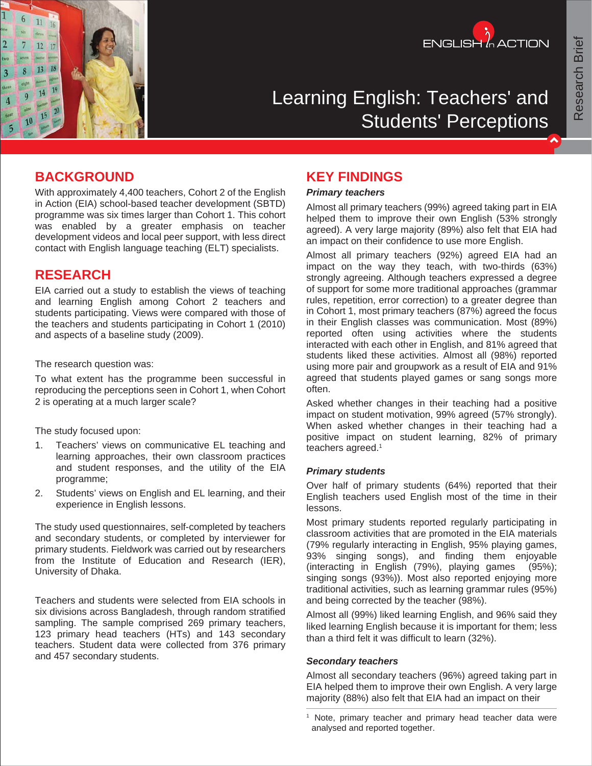



# Learning English: Teachers' and Students' Perceptions

### **BACKGROUND**

With approximately 4,400 teachers, Cohort 2 of the English in Action (EIA) school-based teacher development (SBTD) programme was six times larger than Cohort 1. This cohort was enabled by a greater emphasis on teacher development videos and local peer support, with less direct contact with English language teaching (ELT) specialists.

### **RESEARCH**

EIA carried out a study to establish the views of teaching and learning English among Cohort 2 teachers and students participating. Views were compared with those of the teachers and students participating in Cohort 1 (2010) and aspects of a baseline study (2009).

The research question was:

To what extent has the programme been successful in reproducing the perceptions seen in Cohort 1, when Cohort 2 is operating at a much larger scale?

The study focused upon:

- 1. Teachers' views on communicative EL teaching and learning approaches, their own classroom practices and student responses, and the utility of the EIA programme;
- 2. Students' views on English and EL learning, and their experience in English lessons.

The study used questionnaires, self-completed by teachers and secondary students, or completed by interviewer for primary students. Fieldwork was carried out by researchers from the Institute of Education and Research (IER), University of Dhaka.

Teachers and students were selected from EIA schools in six divisions across Bangladesh, through random stratified sampling. The sample comprised 269 primary teachers, 123 primary head teachers (HTs) and 143 secondary teachers. Student data were collected from 376 primary and 457 secondary students.

# **KEY FINDINGS**

#### *Primary teachers*

Almost all primary teachers (99%) agreed taking part in EIA helped them to improve their own English (53% strongly agreed). A very large majority (89%) also felt that EIA had an impact on their confidence to use more English.

Almost all primary teachers (92%) agreed EIA had an impact on the way they teach, with two-thirds (63%) strongly agreeing. Although teachers expressed a degree of support for some more traditional approaches (grammar rules, repetition, error correction) to a greater degree than in Cohort 1, most primary teachers (87%) agreed the focus in their English classes was communication. Most (89%) reported often using activities where the students interacted with each other in English, and 81% agreed that students liked these activities. Almost all (98%) reported using more pair and groupwork as a result of EIA and 91% agreed that students played games or sang songs more often.

Asked whether changes in their teaching had a positive impact on student motivation, 99% agreed (57% strongly). When asked whether changes in their teaching had a positive impact on student learning, 82% of primary teachers agreed.1

#### *Primary students*

Over half of primary students (64%) reported that their English teachers used English most of the time in their lessons.

Most primary students reported regularly participating in classroom activities that are promoted in the EIA materials (79% regularly interacting in English, 95% playing games, 93% singing songs), and finding them enjoyable (interacting in English (79%), playing games (95%); singing songs (93%)). Most also reported enjoying more traditional activities, such as learning grammar rules (95%) and being corrected by the teacher (98%).

Almost all (99%) liked learning English, and 96% said they liked learning English because it is important for them; less than a third felt it was difficult to learn (32%).

#### *Secondary teachers*

Almost all secondary teachers (96%) agreed taking part in EIA helped them to improve their own English. A very large majority (88%) also felt that EIA had an impact on their

<sup>&</sup>lt;sup>1</sup> Note, primary teacher and primary head teacher data were analysed and reported together.